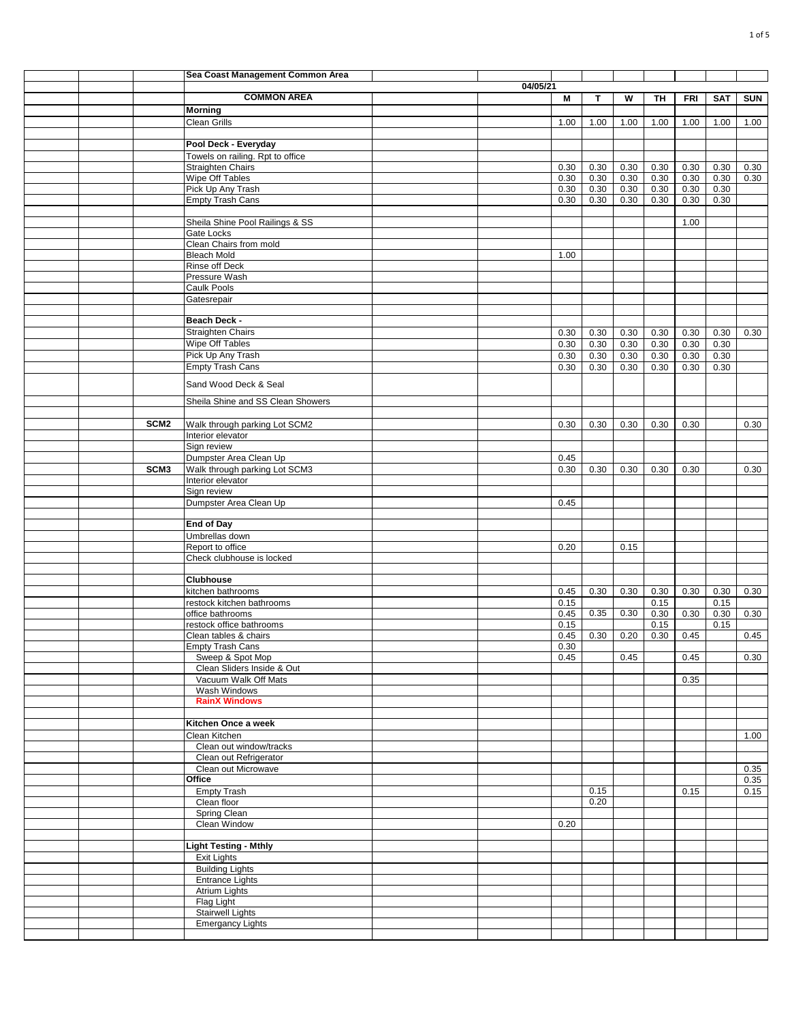|  |                  | Sea Coast Management Common Area                   |          |              |              |              |              |              |              |            |
|--|------------------|----------------------------------------------------|----------|--------------|--------------|--------------|--------------|--------------|--------------|------------|
|  |                  |                                                    | 04/05/21 |              |              |              |              |              |              |            |
|  |                  | <b>COMMON AREA</b>                                 |          | M            | т            | W            | TH           | <b>FRI</b>   | <b>SAT</b>   | <b>SUN</b> |
|  |                  | <b>Morning</b>                                     |          |              |              |              |              |              |              |            |
|  |                  | <b>Clean Grills</b>                                |          | 1.00         | 1.00         | 1.00         | 1.00         | 1.00         | 1.00         | 1.00       |
|  |                  | Pool Deck - Everyday                               |          |              |              |              |              |              |              |            |
|  |                  | Towels on railing. Rpt to office                   |          |              |              |              |              |              |              |            |
|  |                  | Straighten Chairs                                  |          | 0.30         | 0.30         | 0.30         | 0.30         | 0.30         | 0.30         | 0.30       |
|  |                  | Wipe Off Tables                                    |          | 0.30         | 0.30         | 0.30         | 0.30         | 0.30         | 0.30         | 0.30       |
|  |                  | Pick Up Any Trash<br><b>Empty Trash Cans</b>       |          | 0.30<br>0.30 | 0.30<br>0.30 | 0.30<br>0.30 | 0.30<br>0.30 | 0.30<br>0.30 | 0.30<br>0.30 |            |
|  |                  |                                                    |          |              |              |              |              |              |              |            |
|  |                  | Sheila Shine Pool Railings & SS                    |          |              |              |              |              | 1.00         |              |            |
|  |                  | Gate Locks                                         |          |              |              |              |              |              |              |            |
|  |                  | Clean Chairs from mold                             |          |              |              |              |              |              |              |            |
|  |                  | <b>Bleach Mold</b>                                 |          | 1.00         |              |              |              |              |              |            |
|  |                  | Rinse off Deck<br>Pressure Wash                    |          |              |              |              |              |              |              |            |
|  |                  | Caulk Pools                                        |          |              |              |              |              |              |              |            |
|  |                  | Gatesrepair                                        |          |              |              |              |              |              |              |            |
|  |                  |                                                    |          |              |              |              |              |              |              |            |
|  |                  | Beach Deck -                                       |          |              |              |              |              |              |              |            |
|  |                  | <b>Straighten Chairs</b>                           |          | 0.30         | 0.30         | 0.30         | 0.30         | 0.30         | 0.30         | 0.30       |
|  |                  | Wipe Off Tables<br>Pick Up Any Trash               |          | 0.30<br>0.30 | 0.30<br>0.30 | 0.30<br>0.30 | 0.30<br>0.30 | 0.30<br>0.30 | 0.30<br>0.30 |            |
|  |                  | <b>Empty Trash Cans</b>                            |          | 0.30         | 0.30         | 0.30         | 0.30         | 0.30         | 0.30         |            |
|  |                  |                                                    |          |              |              |              |              |              |              |            |
|  |                  | Sand Wood Deck & Seal                              |          |              |              |              |              |              |              |            |
|  |                  | Sheila Shine and SS Clean Showers                  |          |              |              |              |              |              |              |            |
|  |                  |                                                    |          |              |              |              |              |              |              |            |
|  | SCM <sub>2</sub> | Walk through parking Lot SCM2                      |          | 0.30         | 0.30         | 0.30         | 0.30         | 0.30         |              | 0.30       |
|  |                  | Interior elevator                                  |          |              |              |              |              |              |              |            |
|  |                  | Sign review<br>Dumpster Area Clean Up              |          | 0.45         |              |              |              |              |              |            |
|  | SCM <sub>3</sub> | Walk through parking Lot SCM3                      |          | 0.30         | 0.30         | 0.30         | 0.30         | 0.30         |              | 0.30       |
|  |                  | Interior elevator                                  |          |              |              |              |              |              |              |            |
|  |                  | Sign review                                        |          |              |              |              |              |              |              |            |
|  |                  | Dumpster Area Clean Up                             |          | 0.45         |              |              |              |              |              |            |
|  |                  | <b>End of Day</b>                                  |          |              |              |              |              |              |              |            |
|  |                  | Umbrellas down                                     |          |              |              |              |              |              |              |            |
|  |                  | Report to office                                   |          | 0.20         |              | 0.15         |              |              |              |            |
|  |                  | Check clubhouse is locked                          |          |              |              |              |              |              |              |            |
|  |                  |                                                    |          |              |              |              |              |              |              |            |
|  |                  | <b>Clubhouse</b>                                   |          |              |              |              |              |              |              |            |
|  |                  | kitchen bathrooms<br>restock kitchen bathrooms     |          | 0.45<br>0.15 | 0.30         | 0.30         | 0.30<br>0.15 | 0.30         | 0.30<br>0.15 | 0.30       |
|  |                  | office bathrooms                                   |          | 0.45         | 0.35         | 0.30         | 0.30         | 0.30         | 0.30         | 0.30       |
|  |                  | restock office bathrooms                           |          | 0.15         |              |              | 0.15         |              | 0.15         |            |
|  |                  | Clean tables & chairs                              |          | 0.45         | 0.30         | 0.20         | 0.30         | 0.45         |              | 0.45       |
|  |                  | Empty Trash Cans                                   |          | 0.30         |              |              |              |              |              |            |
|  |                  | Sweep & Spot Mop                                   |          | 0.45         |              | 0.45         |              | 0.45         |              | 0.30       |
|  |                  | Clean Sliders Inside & Out<br>Vacuum Walk Off Mats |          |              |              |              |              | 0.35         |              |            |
|  |                  | Wash Windows                                       |          |              |              |              |              |              |              |            |
|  |                  | <b>RainX Windows</b>                               |          |              |              |              |              |              |              |            |
|  |                  |                                                    |          |              |              |              |              |              |              |            |
|  |                  | Kitchen Once a week                                |          |              |              |              |              |              |              |            |
|  |                  | Clean Kitchen<br>Clean out window/tracks           |          |              |              |              |              |              |              | 1.00       |
|  |                  | Clean out Refrigerator                             |          |              |              |              |              |              |              |            |
|  |                  | Clean out Microwave                                |          |              |              |              |              |              |              | 0.35       |
|  |                  | Office                                             |          |              |              |              |              |              |              | 0.35       |
|  |                  | <b>Empty Trash</b>                                 |          |              | 0.15         |              |              | 0.15         |              | 0.15       |
|  |                  | Clean floor                                        |          |              | 0.20         |              |              |              |              |            |
|  |                  | Spring Clean<br>Clean Window                       |          | 0.20         |              |              |              |              |              |            |
|  |                  |                                                    |          |              |              |              |              |              |              |            |
|  |                  | <b>Light Testing - Mthly</b>                       |          |              |              |              |              |              |              |            |
|  |                  | <b>Exit Lights</b>                                 |          |              |              |              |              |              |              |            |
|  |                  | <b>Building Lights</b>                             |          |              |              |              |              |              |              |            |
|  |                  | <b>Entrance Lights</b><br><b>Atrium Lights</b>     |          |              |              |              |              |              |              |            |
|  |                  | Flag Light                                         |          |              |              |              |              |              |              |            |
|  |                  | <b>Stairwell Lights</b>                            |          |              |              |              |              |              |              |            |
|  |                  | <b>Emergancy Lights</b>                            |          |              |              |              |              |              |              |            |
|  |                  |                                                    |          |              |              |              |              |              |              |            |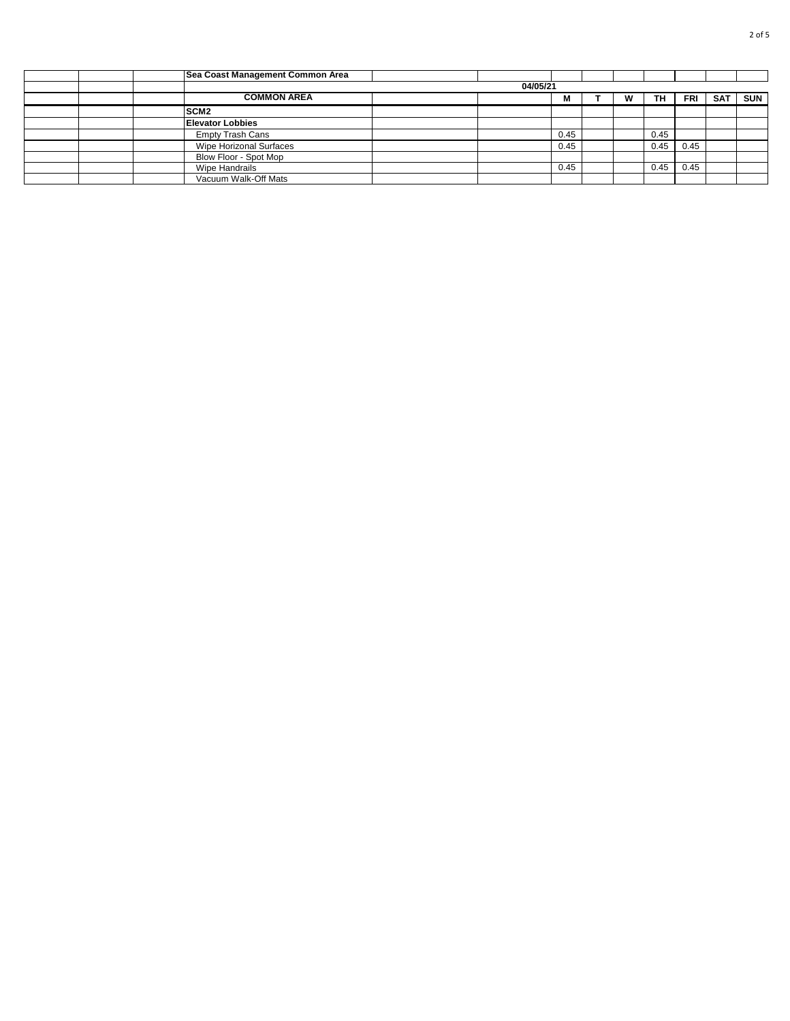|  | Sea Coast Management Common Area |          |      |   |      |      |            |            |
|--|----------------------------------|----------|------|---|------|------|------------|------------|
|  |                                  | 04/05/21 |      |   |      |      |            |            |
|  | <b>COMMON AREA</b>               |          | М    | w | TH.  | FRI  | <b>SAT</b> | <b>SUN</b> |
|  | SCM <sub>2</sub>                 |          |      |   |      |      |            |            |
|  | <b>Elevator Lobbies</b>          |          |      |   |      |      |            |            |
|  | <b>Empty Trash Cans</b>          |          | 0.45 |   | 0.45 |      |            |            |
|  | Wipe Horizonal Surfaces          |          | 0.45 |   | 0.45 | 0.45 |            |            |
|  | Blow Floor - Spot Mop            |          |      |   |      |      |            |            |
|  | Wipe Handrails                   |          | 0.45 |   | 0.45 | 0.45 |            |            |
|  | Vacuum Walk-Off Mats             |          |      |   |      |      |            |            |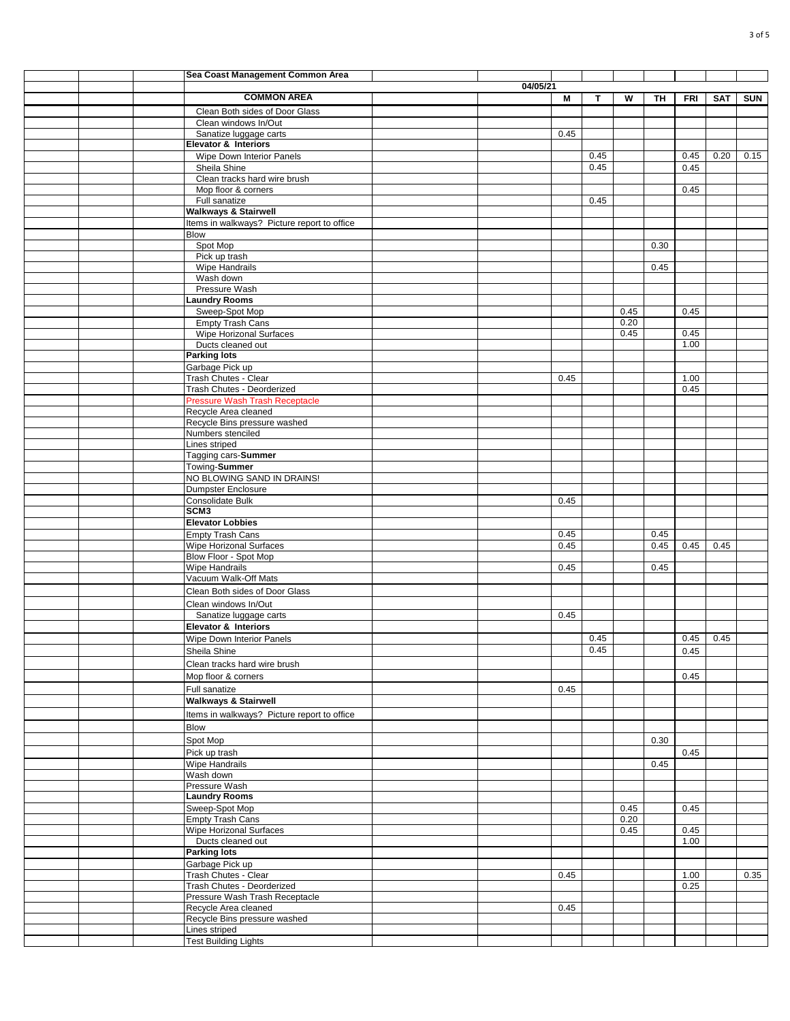|  | Sea Coast Management Common Area            |          |      |      |      |      |      |            |            |
|--|---------------------------------------------|----------|------|------|------|------|------|------------|------------|
|  |                                             | 04/05/21 |      |      |      |      |      |            |            |
|  | <b>COMMON AREA</b>                          |          | M    | Т    | W    | TΗ   | FRI  | <b>SAT</b> | <b>SUN</b> |
|  |                                             |          |      |      |      |      |      |            |            |
|  | Clean Both sides of Door Glass              |          |      |      |      |      |      |            |            |
|  | Clean windows In/Out                        |          |      |      |      |      |      |            |            |
|  | Sanatize luggage carts                      |          | 0.45 |      |      |      |      |            |            |
|  | <b>Elevator &amp; Interiors</b>             |          |      |      |      |      |      |            |            |
|  | Wipe Down Interior Panels                   |          |      | 0.45 |      |      | 0.45 | 0.20       | 0.15       |
|  | Sheila Shine                                |          |      | 0.45 |      |      | 0.45 |            |            |
|  | Clean tracks hard wire brush                |          |      |      |      |      |      |            |            |
|  | Mop floor & corners                         |          |      |      |      |      | 0.45 |            |            |
|  | Full sanatize                               |          |      | 0.45 |      |      |      |            |            |
|  | <b>Walkways &amp; Stairwell</b>             |          |      |      |      |      |      |            |            |
|  |                                             |          |      |      |      |      |      |            |            |
|  | Items in walkways? Picture report to office |          |      |      |      |      |      |            |            |
|  | <b>Blow</b>                                 |          |      |      |      |      |      |            |            |
|  | Spot Mop                                    |          |      |      |      | 0.30 |      |            |            |
|  | Pick up trash                               |          |      |      |      |      |      |            |            |
|  | Wipe Handrails                              |          |      |      |      | 0.45 |      |            |            |
|  | Wash down                                   |          |      |      |      |      |      |            |            |
|  | Pressure Wash                               |          |      |      |      |      |      |            |            |
|  | <b>Laundry Rooms</b>                        |          |      |      |      |      |      |            |            |
|  | Sweep-Spot Mop                              |          |      |      | 0.45 |      | 0.45 |            |            |
|  | <b>Empty Trash Cans</b>                     |          |      |      | 0.20 |      |      |            |            |
|  | Wipe Horizonal Surfaces                     |          |      |      | 0.45 |      | 0.45 |            |            |
|  | Ducts cleaned out                           |          |      |      |      |      | 1.00 |            |            |
|  | <b>Parking lots</b>                         |          |      |      |      |      |      |            |            |
|  |                                             |          |      |      |      |      |      |            |            |
|  | Garbage Pick up                             |          |      |      |      |      |      |            |            |
|  | Trash Chutes - Clear                        |          | 0.45 |      |      |      | 1.00 |            |            |
|  | Trash Chutes - Deorderized                  |          |      |      |      |      | 0.45 |            |            |
|  | <b>Pressure Wash Trash Receptacle</b>       |          |      |      |      |      |      |            |            |
|  | Recycle Area cleaned                        |          |      |      |      |      |      |            |            |
|  | Recycle Bins pressure washed                |          |      |      |      |      |      |            |            |
|  | Numbers stenciled                           |          |      |      |      |      |      |            |            |
|  | Lines striped                               |          |      |      |      |      |      |            |            |
|  | Tagging cars-Summer                         |          |      |      |      |      |      |            |            |
|  | Towing-Summer                               |          |      |      |      |      |      |            |            |
|  | NO BLOWING SAND IN DRAINS!                  |          |      |      |      |      |      |            |            |
|  | Dumpster Enclosure                          |          |      |      |      |      |      |            |            |
|  | <b>Consolidate Bulk</b>                     |          |      |      |      |      |      |            |            |
|  | SCM3                                        |          | 0.45 |      |      |      |      |            |            |
|  |                                             |          |      |      |      |      |      |            |            |
|  | <b>Elevator Lobbies</b>                     |          |      |      |      |      |      |            |            |
|  | <b>Empty Trash Cans</b>                     |          | 0.45 |      |      | 0.45 |      |            |            |
|  | Wipe Horizonal Surfaces                     |          | 0.45 |      |      | 0.45 | 0.45 | 0.45       |            |
|  | Blow Floor - Spot Mop                       |          |      |      |      |      |      |            |            |
|  | <b>Wipe Handrails</b>                       |          | 0.45 |      |      | 0.45 |      |            |            |
|  | Vacuum Walk-Off Mats                        |          |      |      |      |      |      |            |            |
|  | Clean Both sides of Door Glass              |          |      |      |      |      |      |            |            |
|  |                                             |          |      |      |      |      |      |            |            |
|  | Clean windows In/Out                        |          |      |      |      |      |      |            |            |
|  | Sanatize luggage carts                      |          | 0.45 |      |      |      |      |            |            |
|  | <b>Elevator &amp; Interiors</b>             |          |      |      |      |      |      |            |            |
|  | Wipe Down Interior Panels                   |          |      | 0.45 |      |      | 0.45 | 0.45       |            |
|  | Sheila Shine                                |          |      | 0.45 |      |      | 0.45 |            |            |
|  | Clean tracks hard wire brush                |          |      |      |      |      |      |            |            |
|  |                                             |          |      |      |      |      |      |            |            |
|  | Mop floor & corners                         |          |      |      |      |      | 0.45 |            |            |
|  | Full sanatize                               |          | 0.45 |      |      |      |      |            |            |
|  | <b>Walkways &amp; Stairwell</b>             |          |      |      |      |      |      |            |            |
|  | Items in walkways? Picture report to office |          |      |      |      |      |      |            |            |
|  |                                             |          |      |      |      |      |      |            |            |
|  | <b>Blow</b>                                 |          |      |      |      |      |      |            |            |
|  | Spot Mop                                    |          |      |      |      | 0.30 |      |            |            |
|  | Pick up trash                               |          |      |      |      |      | 0.45 |            |            |
|  | <b>Wipe Handrails</b>                       |          |      |      |      | 0.45 |      |            |            |
|  | Wash down                                   |          |      |      |      |      |      |            |            |
|  | Pressure Wash                               |          |      |      |      |      |      |            |            |
|  | <b>Laundry Rooms</b>                        |          |      |      |      |      |      |            |            |
|  | Sweep-Spot Mop                              |          |      |      | 0.45 |      | 0.45 |            |            |
|  | <b>Empty Trash Cans</b>                     |          |      |      | 0.20 |      |      |            |            |
|  | <b>Wipe Horizonal Surfaces</b>              |          |      |      |      |      |      |            |            |
|  |                                             |          |      |      | 0.45 |      | 0.45 |            |            |
|  | Ducts cleaned out                           |          |      |      |      |      | 1.00 |            |            |
|  | <b>Parking lots</b>                         |          |      |      |      |      |      |            |            |
|  | Garbage Pick up                             |          |      |      |      |      |      |            |            |
|  | Trash Chutes - Clear                        |          | 0.45 |      |      |      | 1.00 |            | 0.35       |
|  | Trash Chutes - Deorderized                  |          |      |      |      |      | 0.25 |            |            |
|  | Pressure Wash Trash Receptacle              |          |      |      |      |      |      |            |            |
|  | Recycle Area cleaned                        |          | 0.45 |      |      |      |      |            |            |
|  | Recycle Bins pressure washed                |          |      |      |      |      |      |            |            |
|  | Lines striped                               |          |      |      |      |      |      |            |            |
|  | <b>Test Building Lights</b>                 |          |      |      |      |      |      |            |            |
|  |                                             |          |      |      |      |      |      |            |            |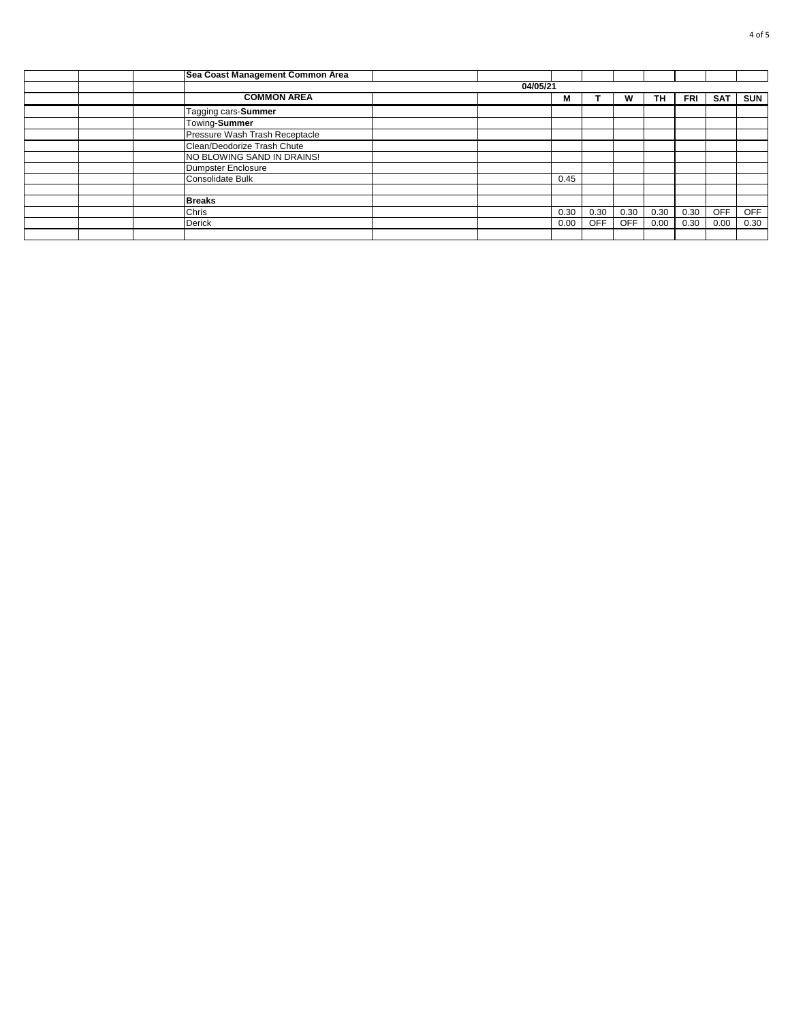|  | Sea Coast Management Common Area |          |      |            |            |      |      |            |            |
|--|----------------------------------|----------|------|------------|------------|------|------|------------|------------|
|  |                                  | 04/05/21 |      |            |            |      |      |            |            |
|  | <b>COMMON AREA</b>               |          | M    |            | W          | TH.  | FRI  | <b>SAT</b> | <b>SUN</b> |
|  | Tagging cars-Summer              |          |      |            |            |      |      |            |            |
|  | Towing-Summer                    |          |      |            |            |      |      |            |            |
|  | Pressure Wash Trash Receptacle   |          |      |            |            |      |      |            |            |
|  | Clean/Deodorize Trash Chute      |          |      |            |            |      |      |            |            |
|  | NO BLOWING SAND IN DRAINS!       |          |      |            |            |      |      |            |            |
|  | Dumpster Enclosure               |          |      |            |            |      |      |            |            |
|  | Consolidate Bulk                 |          | 0.45 |            |            |      |      |            |            |
|  |                                  |          |      |            |            |      |      |            |            |
|  | <b>Breaks</b>                    |          |      |            |            |      |      |            |            |
|  | Chris                            |          | 0.30 | 0.30       | 0.30       | 0.30 | 0.30 | <b>OFF</b> | <b>OFF</b> |
|  | Derick                           |          | 0.00 | <b>OFF</b> | <b>OFF</b> | 0.00 | 0.30 | 0.00       | 0.30       |
|  |                                  |          |      |            |            |      |      |            |            |
|  |                                  |          |      |            |            |      |      |            |            |